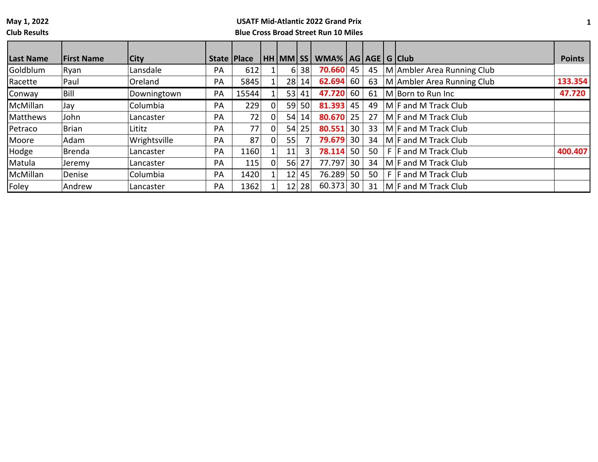**Club Results**

|           |                   |              |               |       |                 |           |                             |    |    |                             | <b>Points</b> |
|-----------|-------------------|--------------|---------------|-------|-----------------|-----------|-----------------------------|----|----|-----------------------------|---------------|
| Last Name | <b>First Name</b> | <b>City</b>  | State   Place |       |                 |           | HH MM SS WMA% AG AGE G Club |    |    |                             |               |
| Goldblum  | Ryan              | Lansdale     | <b>PA</b>     | 612   | 6               | 38        | 70.660                      | 45 | 45 | M Ambler Area Running Club  |               |
| Racette   | Paul              | Oreland      | PA            | 5845  | 28              | 14        | $62.694$ 60                 |    | 63 | M Ambler Area Running Club  | 133.354       |
| Conway    | Bill              | Downingtown  | PA            | 15544 | 53              | 41        | 47.720                      | 60 | 61 | M Born to Run Inc           | 47.720        |
| McMillan  | Jay               | Columbia     | PA            | 229   | 59 <sub>1</sub> | <b>50</b> | 81.393                      | 45 | 49 | $M \mid F$ and M Track Club |               |
| Matthews  | John              | Lancaster    | PA            | 72    | 54              | 14'       | 80.670                      | 25 | 27 | $M \mid F$ and M Track Club |               |
| Petraco   | <b>Brian</b>      | Lititz       | <b>PA</b>     | 77    | 54              | 25        | 80.551                      | 30 | 33 | $M$ F and M Track Club      |               |
| Moore     | Adam              | Wrightsville | PA            | 87    | 55              |           | 79.679                      | 30 | 34 | $M \mid F$ and M Track Club |               |
| Hodge     | Brenda            | Lancaster    | <b>PA</b>     | 1160  | 11 <sub>1</sub> | 3         | 78.114                      | 50 | 50 | $F$ F and M Track Club      | 400.407       |
| Matula    | Jeremy            | Lancaster    | <b>PA</b>     | 115   | 56              | 27        | 77.797                      | 30 | 34 | $M$ F and M Track Club      |               |
| McMillan  | Denise            | Columbia     | <b>PA</b>     | 1420  | 12              | 45        | 76.289                      | 50 | 50 | $F$ F and M Track Club      |               |
| Foley     | Andrew            | Lancaster    | PA            | 1362  | 12              | 28        | 60.373                      | 30 | 31 | $M$ F and M Track Club      |               |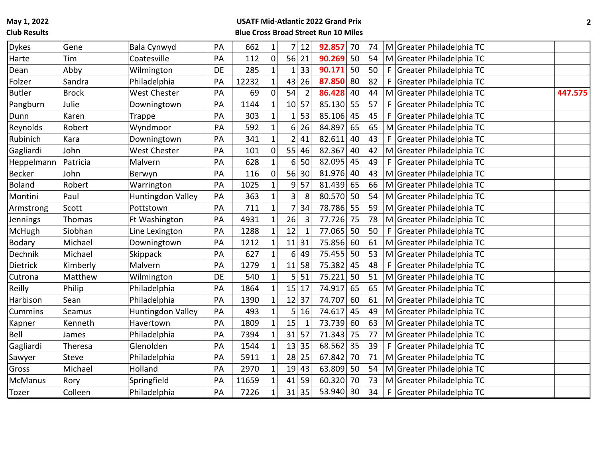**Club Results**

| <b>Dykes</b>   | Gene         | Bala Cynwyd         | PA | 662   | $\mathbf{1}$   | 7                       | 12             | 92.857 | 70 | 74 |    | M Greater Philadelphia TC |         |
|----------------|--------------|---------------------|----|-------|----------------|-------------------------|----------------|--------|----|----|----|---------------------------|---------|
| Harte          | Tim          | Coatesville         | PA | 112   | 0              | 56                      | 21             | 90.269 | 50 | 54 |    | M Greater Philadelphia TC |         |
| Dean           | Abby         | Wilmington          | DE | 285   | 1              | 1                       | 33             | 90.171 | 50 | 50 | F. | Greater Philadelphia TC   |         |
| Folzer         | Sandra       | Philadelphia        | PA | 12232 | $1\vert$       | 43                      | 26             | 87.850 | 80 | 82 | F  | Greater Philadelphia TC   |         |
| <b>Butler</b>  | <b>Brock</b> | <b>West Chester</b> | PA | 69    | $\mathbf 0$    | 54                      | $\overline{2}$ | 86.428 | 40 | 44 |    | M Greater Philadelphia TC | 447.575 |
| Pangburn       | Julie        | Downingtown         | PA | 1144  | 1              |                         | 10 57          | 85.130 | 55 | 57 |    | F Greater Philadelphia TC |         |
| Dunn           | Karen        | Trappe              | PA | 303   | $\mathbf{1}$   | $\mathbf{1}$            | 53             | 85.106 | 45 | 45 |    | F Greater Philadelphia TC |         |
| Reynolds       | Robert       | Wyndmoor            | PA | 592   | $\mathbf{1}$   | 6                       | 26             | 84.897 | 65 | 65 |    | M Greater Philadelphia TC |         |
| Rubinich       | Kara         | Downingtown         | PA | 341   | $\mathbf{1}$   | $\overline{2}$          | 41             | 82.611 | 40 | 43 | F. | Greater Philadelphia TC   |         |
| Gagliardi      | John         | <b>West Chester</b> | PA | 101   | 0              | 55                      | 46             | 82.367 | 40 | 42 |    | M Greater Philadelphia TC |         |
| Heppelmann     | Patricia     | Malvern             | PA | 628   | 1              | 6                       | 50             | 82.095 | 45 | 49 |    | F Greater Philadelphia TC |         |
| <b>Becker</b>  | John         | Berwyn              | PA | 116   | $\overline{0}$ | 56                      | 30             | 81.976 | 40 | 43 |    | M Greater Philadelphia TC |         |
| <b>Boland</b>  | Robert       | Warrington          | PA | 1025  | $\mathbf{1}$   | 9                       | 57             | 81.439 | 65 | 66 |    | M Greater Philadelphia TC |         |
| Montini        | Paul         | Huntingdon Valley   | PA | 363   | $\mathbf{1}$   | $\overline{\mathbf{3}}$ | 8              | 80.570 | 50 | 54 |    | M Greater Philadelphia TC |         |
| Armstrong      | Scott        | Pottstown           | PA | 711   | $\mathbf{1}$   | $\overline{7}$          | 34             | 78.786 | 55 | 59 |    | M Greater Philadelphia TC |         |
| Jennings       | Thomas       | Ft Washington       | PA | 4931  | $1\vert$       | 26                      | $\overline{3}$ | 77.726 | 75 | 78 |    | M Greater Philadelphia TC |         |
| McHugh         | Siobhan      | Line Lexington      | PA | 1288  | $\mathbf 1$    | 12                      | $\mathbf{1}$   | 77.065 | 50 | 50 |    | F Greater Philadelphia TC |         |
| Bodary         | Michael      | Downingtown         | PA | 1212  | $\mathbf 1$    | 11                      | 31             | 75.856 | 60 | 61 |    | M Greater Philadelphia TC |         |
| Dechnik        | Michael      | Skippack            | PA | 627   | $\mathbf{1}$   | 6                       | 49             | 75.455 | 50 | 53 |    | M Greater Philadelphia TC |         |
| Dietrick       | Kimberly     | Malvern             | PA | 1279  | $\mathbf{1}$   | 11                      | 58             | 75.382 | 45 | 48 |    | F Greater Philadelphia TC |         |
| Cutrona        | Matthew      | Wilmington          | DE | 540   | $\mathbf{1}$   | 5 <sub>l</sub>          | 51             | 75.221 | 50 | 51 |    | M Greater Philadelphia TC |         |
| Reilly         | Philip       | Philadelphia        | PA | 1864  | $\mathbf{1}$   | 15                      | 17             | 74.917 | 65 | 65 |    | M Greater Philadelphia TC |         |
| Harbison       | Sean         | Philadelphia        | PA | 1390  | $\mathbf 1$    | 12                      | 37             | 74.707 | 60 | 61 |    | M Greater Philadelphia TC |         |
| Cummins        | Seamus       | Huntingdon Valley   | PA | 493   | $\mathbf 1$    | 5                       | 16             | 74.617 | 45 | 49 |    | M Greater Philadelphia TC |         |
| Kapner         | Kenneth      | Havertown           | PA | 1809  | $\mathbf{1}$   | 15                      | 1              | 73.739 | 60 | 63 |    | M Greater Philadelphia TC |         |
| Bell           | James        | Philadelphia        | PA | 7394  | $\mathbf{1}$   | 31                      | 57             | 71.343 | 75 | 77 |    | M Greater Philadelphia TC |         |
| Gagliardi      | Theresa      | Glenolden           | PA | 1544  | $\mathbf{1}$   |                         | 13 35          | 68.562 | 35 | 39 |    | F Greater Philadelphia TC |         |
| Sawyer         | <b>Steve</b> | Philadelphia        | PA | 5911  | 1              | 28                      | 25             | 67.842 | 70 | 71 |    | M Greater Philadelphia TC |         |
| Gross          | Michael      | Holland             | PA | 2970  | $\mathbf 1$    | 19                      | 43             | 63.809 | 50 | 54 |    | M Greater Philadelphia TC |         |
| <b>McManus</b> | Rory         | Springfield         | PA | 11659 | $\mathbf{1}$   | 41                      | 59             | 60.320 | 70 | 73 |    | M Greater Philadelphia TC |         |
| Tozer          | Colleen      | Philadelphia        | PA | 7226  | 1              |                         | $31$ 35        | 53.940 | 30 | 34 |    | F Greater Philadelphia TC |         |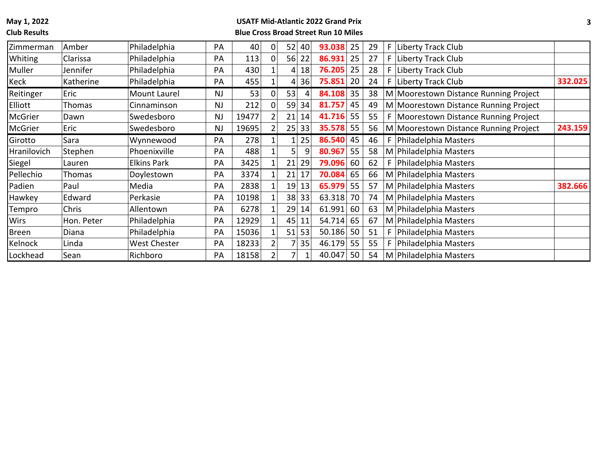# **Club Results**

| Zimmerman      | Amber         | Philadelphia       | PA        | 40    | 0              | 52 | 40      | 93.038 | 25 | 29 | F. | Liberty Track Club                      |         |
|----------------|---------------|--------------------|-----------|-------|----------------|----|---------|--------|----|----|----|-----------------------------------------|---------|
| <b>Whiting</b> | Clarissa      | Philadelphia       | PA        | 113   | 0              |    | $56$ 22 | 86.931 | 25 | 27 |    | F Liberty Track Club                    |         |
| Muller         | Jennifer      | Philadelphia       | PA        | 430   |                | 4  | 18      | 76.205 | 25 | 28 |    | F Liberty Track Club                    |         |
| Keck           | Katherine     | Philadelphia       | PA        | 455   |                | 4  | 36      | 75.851 | 20 | 24 |    | F Liberty Track Club                    | 332.025 |
| Reitinger      | Eric          | Mount Laurel       | <b>NJ</b> | 53    | 0              | 53 | 4       | 84.108 | 35 | 38 |    | M Moorestown Distance Running Project   |         |
| <b>Elliott</b> | <b>Thomas</b> | Cinnaminson        | <b>NJ</b> | 212   | $\overline{0}$ | 59 | 34      | 81.757 | 45 | 49 |    | M Moorestown Distance Running Project   |         |
| McGrier        | Dawn          | Swedesboro         | <b>NJ</b> | 19477 | $\overline{2}$ | 21 | 14      | 41.716 | 55 | 55 |    | F   Moorestown Distance Running Project |         |
| McGrier        | Eric          | Swedesboro         | <b>NJ</b> | 19695 | $\overline{2}$ |    | 25 33   | 35.578 | 55 | 56 |    | M Moorestown Distance Running Project   | 243.159 |
| Girotto        | Sara          | Wynnewood          | PA        | 278   |                |    | 25      | 86.540 | 45 | 46 | F. | Philadelphia Masters                    |         |
| Hranilovich    | Stephen       | Phoenixville       | PA        | 488   |                |    | 9       | 80.967 | 55 | 58 |    | M Philadelphia Masters                  |         |
| Siegel         | Lauren        | <b>Elkins Park</b> | PA        | 3425  |                | 21 | 29      | 79.096 | 60 | 62 |    | F   Philadelphia Masters                |         |
| Pellechio      | <b>Thomas</b> | Doylestown         | PA        | 3374  |                | 21 | 17      | 70.084 | 65 | 66 |    | M Philadelphia Masters                  |         |
| Padien         | Paul          | Media              | PA        | 2838  |                | 19 | 13      | 65.979 | 55 | 57 |    | M Philadelphia Masters                  | 382.666 |
| Hawkey         | Edward        | Perkasie           | PA        | 10198 |                | 38 | 33      | 63.318 | 70 | 74 |    | M Philadelphia Masters                  |         |
| Tempro         | Chris         | Allentown          | PA        | 6278  |                | 29 | 14      | 61.991 | 60 | 63 |    | M Philadelphia Masters                  |         |
| <b>Wirs</b>    | Hon. Peter    | Philadelphia       | PA        | 12929 | $1\vert$       | 45 | 11      | 54.714 | 65 | 67 |    | M Philadelphia Masters                  |         |
| <b>Breen</b>   | Diana         | Philadelphia       | PA        | 15036 | $1\vert$       | 51 | 53      | 50.186 | 50 | 51 | F. | Philadelphia Masters                    |         |
| Kelnock        | Linda         | West Chester       | PA        | 18233 | $\overline{2}$ |    | 35      | 46.179 | 55 | 55 | F. | Philadelphia Masters                    |         |
| Lockhead       | Sean          | Richboro           | PA        | 18158 | $\overline{2}$ |    |         | 40.047 | 50 | 54 |    | M Philadelphia Masters                  |         |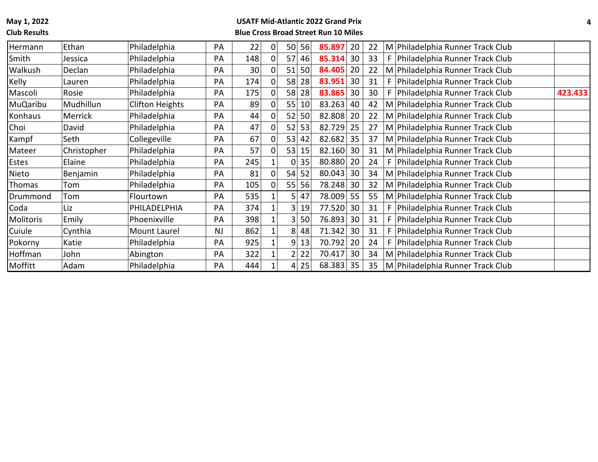**Club Results**

| Hermann        | Ethan          | Philadelphia    | PA        | 22              | 0              | 56<br>50 | 85.897 | 20 | 22 | M Philadelphia Runner Track Club              |  |
|----------------|----------------|-----------------|-----------|-----------------|----------------|----------|--------|----|----|-----------------------------------------------|--|
| Smith          | Jessica        | Philadelphia    | PA        | 148             | 0              | 57<br>46 | 85.314 | 30 | 33 | F   Philadelphia Runner Track Club            |  |
| <b>Walkush</b> | Declan         | Philadelphia    | PA        | 30 <sup>1</sup> | 0              | 51<br>50 | 84.405 | 20 | 22 | M Philadelphia Runner Track Club              |  |
| Kelly          | Lauren         | Philadelphia    | <b>PA</b> | 174             | 0              | 58<br>28 | 83.951 | 30 | 31 | F   Philadelphia Runner Track Club            |  |
| Mascoli        | Rosie          | Philadelphia    | PA        | 175             | 0              | 58<br>28 | 83.865 | 30 | 30 | F   Philadelphia Runner Track Club<br>423.433 |  |
| MuQaribu       | Mudhillun      | Clifton Heights | PA        | 89              | 0              | 55<br>10 | 83.263 | 40 | 42 | M Philadelphia Runner Track Club              |  |
| Konhaus        | <b>Merrick</b> | Philadelphia    | PA        | 44              | 0              | 52<br>50 | 82.808 | 20 | 22 | M Philadelphia Runner Track Club              |  |
| Choi           | David          | Philadelphia    | PA        | 47              | 0              | 53<br>52 | 82.729 | 25 | 27 | M Philadelphia Runner Track Club              |  |
| Kampf          | Seth           | Collegeville    | PA        | 67              | 0              | 53<br>42 | 82.682 | 35 | 37 | M Philadelphia Runner Track Club              |  |
| Mateer         | Christopher    | Philadelphia    | PA        | 57              |                | 53<br>15 | 82.160 | 30 | 31 | M Philadelphia Runner Track Club              |  |
| <b>Estes</b>   | Elaine         | Philadelphia    | PA        | 245             |                | 35<br>0  | 80.880 | 20 | 24 | F   Philadelphia Runner Track Club            |  |
| Nieto          | Benjamin       | Philadelphia    | PA        | 81              | 0              | 54<br>52 | 80.043 | 30 | 34 | M Philadelphia Runner Track Club              |  |
| Thomas         | Tom            | Philadelphia    | PA        | 105             | $\overline{0}$ | 55<br>56 | 78.248 | 30 | 32 | M Philadelphia Runner Track Club              |  |
| Drummond       | Tom            | Flourtown       | PA        | 535             | 1              | 5<br>47  | 78.009 | 55 | 55 | M Philadelphia Runner Track Club              |  |
| Coda           | Liz            | PHILADELPHIA    | PA        | 374             |                | 3<br>19  | 77.520 | 30 | 31 | F Philadelphia Runner Track Club              |  |
| Molitoris      | Emily          | Phoenixville    | <b>PA</b> | 398             |                | 50<br>3  | 76.893 | 30 | 31 | F   Philadelphia Runner Track Club            |  |
| <b>Cuiule</b>  | Cynthia        | Mount Laurel    | <b>NJ</b> | 862             |                | 8<br>48  | 71.342 | 30 | 31 | F   Philadelphia Runner Track Club            |  |
| Pokorny        | Katie          | Philadelphia    | PA        | 925             |                | 9<br>13  | 70.792 | 20 | 24 | F Philadelphia Runner Track Club              |  |
| Hoffman        | John           | Abington        | PA        | 322             |                | 22       | 70.417 | 30 | 34 | M Philadelphia Runner Track Club              |  |
| Moffitt        | Adam           | Philadelphia    | PA        | 444             |                | 25<br>4  | 68.383 | 35 | 35 | M Philadelphia Runner Track Club              |  |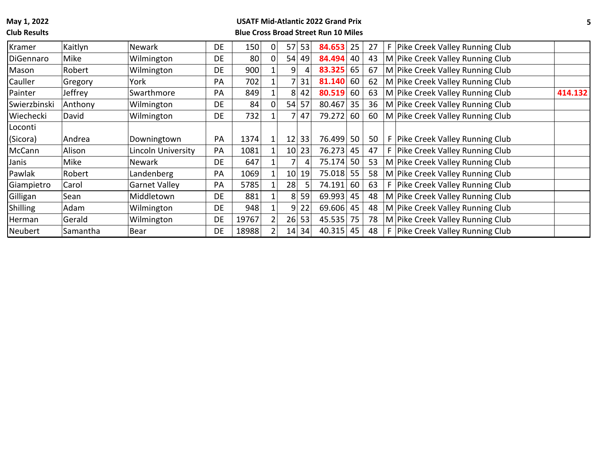#### **Club Results**

| Kramer       | Kaitlyn  | <b>Newark</b>        | <b>DE</b> | 150   | 0              | 57              | 53    | 84.653    | 25 | 27 | F. | Pike Creek Valley Running Club   |         |
|--------------|----------|----------------------|-----------|-------|----------------|-----------------|-------|-----------|----|----|----|----------------------------------|---------|
| DiGennaro    | Mike     | Wilmington           | DE        | 80    | 0              | 54              | 49    | 84.494    | 40 | 43 |    | M Pike Creek Valley Running Club |         |
| Mason        | Robert   | Wilmington           | DE        | 900   |                | 9               |       | 83.325    | 65 | 67 |    | M Pike Creek Valley Running Club |         |
| Cauller      | Gregory  | York                 | PA        | 702   |                |                 | 31    | 81.140    | 60 | 62 |    | M Pike Creek Valley Running Club |         |
| Painter      | Jeffrey  | Swarthmore           | PA        | 849   |                | 8               | 42    | 80.519    | 60 | 63 |    | M Pike Creek Valley Running Club | 414.132 |
| Swierzbinski | Anthony  | Wilmington           | DE        | 84    | 0              | 54              | 57    | 80.467    | 35 | 36 |    | M Pike Creek Valley Running Club |         |
| Wiechecki    | David    | Wilmington           | DE        | 732   |                |                 | 47    | 79.272    | 60 | 60 |    | M Pike Creek Valley Running Club |         |
| Loconti      |          |                      |           |       |                |                 |       |           |    |    |    |                                  |         |
| (Sicora)     | Andrea   | Downingtown          | PA        | 1374  | 1              | 12              | 33    | 76.499    | 50 | 50 |    | F Pike Creek Valley Running Club |         |
| McCann       | Alison   | Lincoln University   | PA        | 1081  |                | 10 <sup>1</sup> | 23    | 76.273    | 45 | 47 |    | F Pike Creek Valley Running Club |         |
| Janis        | Mike     | <b>Newark</b>        | <b>DE</b> | 647   |                |                 | 4     | 75.174    | 50 | 53 |    | M Pike Creek Valley Running Club |         |
| Pawlak       | Robert   | Landenberg           | <b>PA</b> | 1069  |                | 10              | 19    | 75.018    | 55 | 58 |    | M Pike Creek Valley Running Club |         |
| Giampietro   | Carol    | <b>Garnet Valley</b> | PA        | 5785  |                | 28              | 5     | 74.191    | 60 | 63 |    | F Pike Creek Valley Running Club |         |
| Gilligan     | Sean     | Middletown           | DE        | 881   |                | 8               | 59    | 69.993    | 45 | 48 |    | M Pike Creek Valley Running Club |         |
| Shilling     | Adam     | Wilmington           | <b>DE</b> | 948   |                | 9               | 22    | 69.606 45 |    | 48 |    | M Pike Creek Valley Running Club |         |
| Herman       | Gerald   | Wilmington           | DE        | 19767 | $\overline{2}$ | 26              | 53    | 45.535    | 75 | 78 |    | M Pike Creek Valley Running Club |         |
| Neubert      | Samantha | Bear                 | DE        | 18988 |                |                 | 14 34 | 40.315    | 45 | 48 |    | F Pike Creek Valley Running Club |         |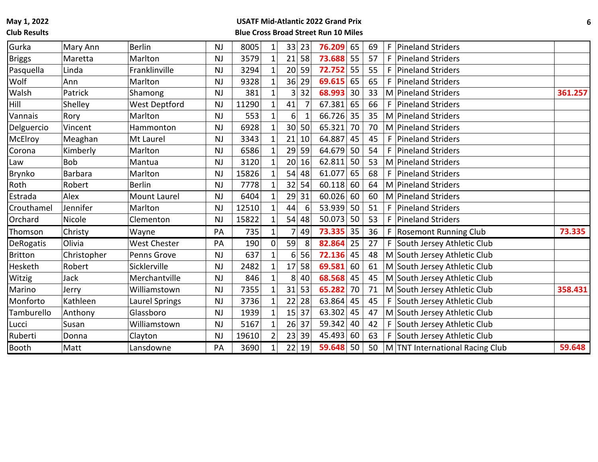#### **Club Results**

| Gurka          | Mary Ann       | <b>Berlin</b>       | <b>NJ</b> | 8005  | $1\vert$       | 33              | 23             | 76.209 | 65 | 69 | F   Pineland Striders           |         |
|----------------|----------------|---------------------|-----------|-------|----------------|-----------------|----------------|--------|----|----|---------------------------------|---------|
| <b>Briggs</b>  | Maretta        | Marlton             | NJ        | 3579  | $1\vert$       | 21              | 58             | 73.688 | 55 | 57 | F   Pineland Striders           |         |
| Pasquella      | Linda          | Franklinville       | <b>NJ</b> | 3294  | $\mathbf 1$    | 20              | 59             | 72.752 | 55 | 55 | F   Pineland Striders           |         |
| Wolf           | Ann            | Marlton             | <b>NJ</b> | 9328  | $\mathbf 1$    | 36              | 29             | 69.615 | 65 | 65 | F Pineland Striders             |         |
| Walsh          | Patrick        | Shamong             | <b>NJ</b> | 381   | $1\vert$       | 3               | 32             | 68.993 | 30 | 33 | M Pineland Striders             | 361.257 |
| <b>Hill</b>    | Shelley        | West Deptford       | <b>NJ</b> | 11290 | $1\vert$       | 41              | $\overline{7}$ | 67.381 | 65 | 66 | F Pineland Striders             |         |
| Vannais        | Rory           | Marlton             | <b>NJ</b> | 553   | $\mathbf 1$    | 6               | 1              | 66.726 | 35 | 35 | M Pineland Striders             |         |
| Delguercio     | Vincent        | Hammonton           | <b>NJ</b> | 6928  | $1\vert$       | 30 <sup>1</sup> | 50             | 65.321 | 70 | 70 | M Pineland Striders             |         |
| McElroy        | Meaghan        | Mt Laurel           | <b>NJ</b> | 3343  | $1\vert$       | 21              | 10             | 64.887 | 45 | 45 | F   Pineland Striders           |         |
| Corona         | Kimberly       | Marlton             | <b>NJ</b> | 6586  | $1\vert$       | 29              | 59             | 64.679 | 50 | 54 | F Pineland Striders             |         |
| Law            | <b>Bob</b>     | Mantua              | <b>NJ</b> | 3120  | $1\vert$       | 20              | 16             | 62.811 | 50 | 53 | M Pineland Striders             |         |
| Brynko         | <b>Barbara</b> | Marlton             | <b>NJ</b> | 15826 | $1\vert$       | 54              | 48             | 61.077 | 65 | 68 | F Pineland Striders             |         |
| Roth           | Robert         | <b>Berlin</b>       | NJ        | 7778  | $1\vert$       | 32              | 54             | 60.118 | 60 | 64 | M Pineland Striders             |         |
| Estrada        | Alex           | <b>Mount Laurel</b> | <b>NJ</b> | 6404  | $1\vert$       | 29              | 31             | 60.026 | 60 | 60 | M Pineland Striders             |         |
| Crouthamel     | Jennifer       | Marlton             | <b>NJ</b> | 12510 | $1\vert$       | 44              | 6              | 53.939 | 50 | 51 | F Pineland Striders             |         |
| Orchard        | Nicole         | Clementon           | <b>NJ</b> | 15822 | $1\vert$       | 54              | 48             | 50.073 | 50 | 53 | F   Pineland Striders           |         |
| Thomson        | Christy        | Wayne               | PA        | 735   | $1\vert$       | 7               | 49             | 73.335 | 35 | 36 | F Rosemont Running Club         | 73.335  |
| DeRogatis      | Olivia         | <b>West Chester</b> | PA        | 190   | $\overline{0}$ | 59              | 8              | 82.864 | 25 | 27 | F South Jersey Athletic Club    |         |
| <b>Britton</b> | Christopher    | Penns Grove         | <b>NJ</b> | 637   | $\mathbf{1}$   | 6               | 56             | 72.136 | 45 | 48 | M South Jersey Athletic Club    |         |
| Hesketh        | Robert         | Sicklerville        | <b>NJ</b> | 2482  | $1\vert$       | 17              | 58             | 69.581 | 60 | 61 | M South Jersey Athletic Club    |         |
| Witzig         | Jack           | Merchantville       | NJ        | 846   | $1\vert$       | 8               | 40             | 68.568 | 45 | 45 | M South Jersey Athletic Club    |         |
| Marino         | Jerry          | Williamstown        | <b>NJ</b> | 7355  | $1\vert$       | 31              | 53             | 65.282 | 70 | 71 | M South Jersey Athletic Club    | 358.431 |
| Monforto       | Kathleen       | Laurel Springs      | <b>NJ</b> | 3736  | $1\vert$       | 22              | 28             | 63.864 | 45 | 45 | F South Jersey Athletic Club    |         |
| Tamburello     | Anthony        | Glassboro           | <b>NJ</b> | 1939  | $1\vert$       | 15              | 37             | 63.302 | 45 | 47 | M South Jersey Athletic Club    |         |
| Lucci          | Susan          | Williamstown        | NJ        | 5167  | $1\vert$       | 26              | 37             | 59.342 | 40 | 42 | F South Jersey Athletic Club    |         |
| Ruberti        | Donna          | Clayton             | <b>NJ</b> | 19610 | $\overline{2}$ | 23              | 39             | 45.493 | 60 | 63 | F South Jersey Athletic Club    |         |
| Booth          | Matt           | Lansdowne           | PA        | 3690  | $1\vert$       | 22              | 19             | 59.648 | 50 | 50 | M TNT International Racing Club | 59.648  |
|                |                |                     |           |       |                |                 |                |        |    |    |                                 |         |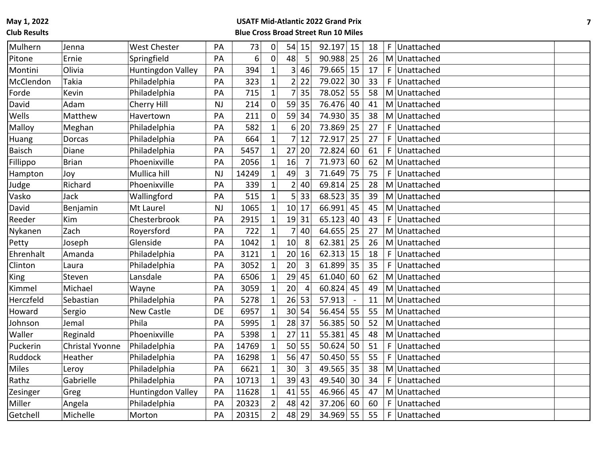**Club Results**

| Mulhern       | Jenna                  | <b>West Chester</b> | PA        | 73    | $\mathbf 0$    | 54<br>15              | 92.197 15   |    | 18 | F. | Unattached   |  |
|---------------|------------------------|---------------------|-----------|-------|----------------|-----------------------|-------------|----|----|----|--------------|--|
| Pitone        | Ernie                  | Springfield         | PA        | 6     | $\mathbf 0$    | 48<br>5               | $90.988$ 25 |    | 26 |    | M Unattached |  |
| Montini       | Olivia                 | Huntingdon Valley   | PA        | 394   | $\mathbf 1$    | 3 <sup>1</sup><br>46  | 79.665 15   |    | 17 | F. | Unattached   |  |
| McClendon     | Takia                  | Philadelphia        | PA        | 323   | $\mathbf 1$    | $\overline{2}$<br>22  | 79.022 30   |    | 33 | F. | Unattached   |  |
| Forde         | Kevin                  | Philadelphia        | PA        | 715   | $\mathbf{1}$   | 7<br>35               | 78.052 55   |    | 58 |    | M Unattached |  |
| David         | Adam                   | Cherry Hill         | NJ        | 214   | $\overline{0}$ | 59 35                 | 76.476 40   |    | 41 |    | M Unattached |  |
| Wells         | Matthew                | Havertown           | PA        | 211   | $\mathbf 0$    | 59<br>34              | 74.930 35   |    | 38 |    | M Unattached |  |
| Malloy        | Meghan                 | Philadelphia        | PA        | 582   | $\mathbf{1}$   | $6\vert$<br>20        | 73.869 25   |    | 27 | F. | Unattached   |  |
| Huang         | <b>Dorcas</b>          | Philadelphia        | PA        | 664   | $\mathbf{1}$   | 7<br>12               | 72.917      | 25 | 27 | F  | Unattached   |  |
| <b>Baisch</b> | Diane                  | Philadelphia        | PA        | 5457  | $\mathbf{1}$   | 27<br>20              | 72.824      | 60 | 61 | F  | Unattached   |  |
| Fillippo      | <b>Brian</b>           | Phoenixville        | PA        | 2056  | $\mathbf{1}$   | 16<br>$\overline{7}$  | 71.973      | 60 | 62 |    | M Unattached |  |
| Hampton       | Joy                    | Mullica hill        | <b>NJ</b> | 14249 |                | 49<br>3               | 71.649      | 75 | 75 | F  | Unattached   |  |
| Judge         | Richard                | Phoenixville        | PA        | 339   |                | $\overline{2}$<br>40  | 69.814 25   |    | 28 |    | M Unattached |  |
| Vasko         | Jack                   | Wallingford         | PA        | 515   |                | $\mathsf{s}$<br>33    | 68.523 35   |    | 39 |    | M Unattached |  |
| David         | Benjamin               | Mt Laurel           | NJ        | 1065  | $\mathbf{1}$   | 10 <sup>1</sup><br>17 | 66.991 45   |    | 45 |    | M Unattached |  |
| Reeder        | Kim                    | Chesterbrook        | PA        | 2915  |                | 19 31                 | 65.123      | 40 | 43 | F  | Unattached   |  |
| Nykanen       | Zach                   | Royersford          | PA        | 722   |                | 7<br>40               | 64.655 25   |    | 27 |    | M Unattached |  |
| Petty         | Joseph                 | Glenside            | PA        | 1042  |                | 10<br>8               | 62.381 25   |    | 26 |    | M Unattached |  |
| Ehrenhalt     | Amanda                 | Philadelphia        | PA        | 3121  |                | 20<br>16              | $62.313$ 15 |    | 18 | F  | Unattached   |  |
| Clinton       | Laura                  | Philadelphia        | PA        | 3052  |                | 20<br>3               | 61.899 35   |    | 35 | F  | Unattached   |  |
| King          | Steven                 | Lansdale            | PA        | 6506  |                | 29<br>45              | 61.040 60   |    | 62 |    | M Unattached |  |
| Kimmel        | Michael                | Wayne               | PA        | 3059  |                | 20<br>$\overline{4}$  | 60.824      | 45 | 49 |    | M Unattached |  |
| Herczfeld     | Sebastian              | Philadelphia        | PA        | 5278  |                | 26<br>53              | 57.913      |    | 11 |    | M Unattached |  |
| Howard        | Sergio                 | New Castle          | <b>DE</b> | 6957  |                | 30 <sup>1</sup><br>54 | 56.454 55   |    | 55 | M  | Unattached   |  |
| Johnson       | Jemal                  | Phila               | PA        | 5995  |                | 28<br>37              | 56.385 50   |    | 52 |    | M Unattached |  |
| Waller        | Reginald               | Phoenixville        | PA        | 5398  |                | 27<br>11              | 55.381      | 45 | 48 |    | M Unattached |  |
| Puckerin      | <b>Christal Yvonne</b> | Philadelphia        | PA        | 14769 | 1              | 50<br>55              | $50.624$ 50 |    | 51 | F. | Unattached   |  |
| Ruddock       | Heather                | Philadelphia        | PA        | 16298 |                | 56<br>47              | 50.450 55   |    | 55 | F  | Unattached   |  |
| <b>Miles</b>  | Leroy                  | Philadelphia        | PA        | 6621  |                | 30<br>3               | 49.565 35   |    | 38 |    | M Unattached |  |
| Rathz         | Gabrielle              | Philadelphia        | PA        | 10713 |                | 39<br>43              | 49.540 30   |    | 34 | F  | Unattached   |  |
| Zesinger      | Greg                   | Huntingdon Valley   | PA        | 11628 | $\mathbf{1}$   | 41<br>55              | 46.966 45   |    | 47 |    | M Unattached |  |
| Miller        | Angela                 | Philadelphia        | PA        | 20323 | $\overline{2}$ | 48<br>42              | 37.206 60   |    | 60 | F  | Unattached   |  |
| Getchell      | Michelle               | Morton              | PA        | 20315 | $\overline{2}$ | 48 29                 | 34.969 55   |    | 55 | F  | Unattached   |  |